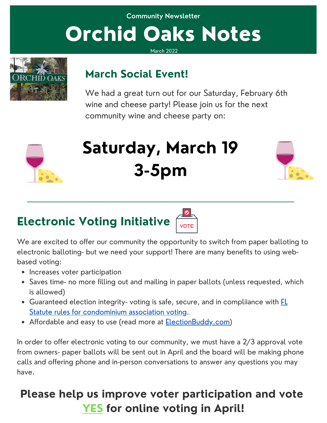## **Community Newsletter** Orchid Oaks Notes

March 2022



#### **March Social Event!**

We had a great turn out for our Saturday, February 6th wine and cheese party! Please join us for the next community wine and cheese party on:



# **Saturday, March 19 3-5pm**



## **Electronic Voting Initiative**



We are excited to offer our community the opportunity to switch from paper balloting to electronic balloting- but we need your support! There are many benefits to using webbased voting:

- Increases voter participation
- Saves time- no more filling out and mailing in paper ballots (unless requested, which is allowed)
- Guaranteed election integrity- voting is safe, secure, and in compliiance with **FL** Statute rules for [condominium](http://www.leg.state.fl.us/Statutes/index.cfm?App_mode=Display_Statute&Search_String=&URL=0700-0799/0718/Sections/0718.128.html) association voting.
- Affordable and easy to use (read more at **[ElectionBuddy.com](http://electionbuddy.com/))**

In order to offer electronic voting to our community, we must have a 2/3 approval vote from owners- paper ballots will be sent out in April and the board will be making phone calls and offering phone and in-person conversations to answer any questions you may have.

#### **Please help us improve voter participation and vote YES for online voting in April!**